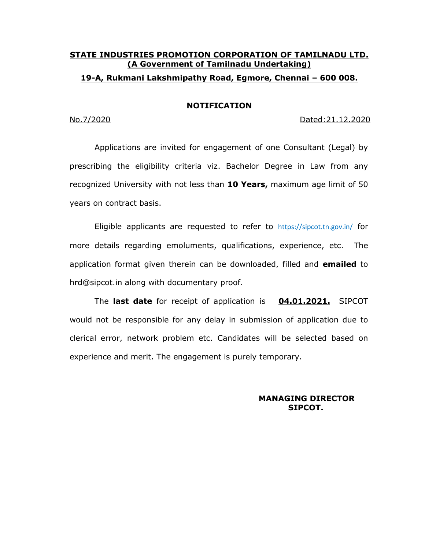### **STATE INDUSTRIES PROMOTION CORPORATION OF TAMILNADU LTD. (A Government of Tamilnadu Undertaking) 19-A, Rukmani Lakshmipathy Road, Egmore, Chennai – 600 008.**

#### **NOTIFICATION**

No.7/2020 Dated:21.12.2020

Applications are invited for engagement of one Consultant (Legal) by prescribing the eligibility criteria viz. Bachelor Degree in Law from any recognized University with not less than **10 Years,** maximum age limit of 50 years on contract basis.

Eligible applicants are requested to refer to https://sipcot.tn.gov.in/ for more details regarding emoluments, qualifications, experience, etc. The application format given therein can be downloaded, filled and **emailed** to hrd@sipcot.in along with documentary proof.

The **last date** for receipt of application is **04.01.2021.** SIPCOT would not be responsible for any delay in submission of application due to clerical error, network problem etc. Candidates will be selected based on experience and merit. The engagement is purely temporary.

> **MANAGING DIRECTOR SIPCOT.**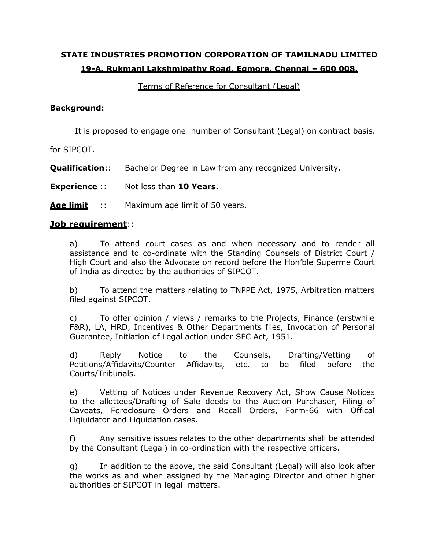# **STATE INDUSTRIES PROMOTION CORPORATION OF TAMILNADU LIMITED 19-A, Rukmani Lakshmipathy Road, Egmore, Chennai – 600 008.**

### Terms of Reference for Consultant (Legal)

### **Background:**

It is proposed to engage one number of Consultant (Legal) on contract basis.

for SIPCOT.

**Qualification**:: Bachelor Degree in Law from any recognized University.

**Experience** :: Not less than **10 Years.** 

**Age limit** :: Maximum age limit of 50 years.

### **Job requirement**::

a) To attend court cases as and when necessary and to render all assistance and to co-ordinate with the Standing Counsels of District Court / High Court and also the Advocate on record before the Hon'ble Superme Court of India as directed by the authorities of SIPCOT.

b) To attend the matters relating to TNPPE Act, 1975, Arbitration matters filed against SIPCOT.

c) To offer opinion / views / remarks to the Projects, Finance (erstwhile F&R), LA, HRD, Incentives & Other Departments files, Invocation of Personal Guarantee, Initiation of Legal action under SFC Act, 1951.

d) Reply Notice to the Counsels, Drafting/Vetting of Petitions/Affidavits/Counter Affidavits, etc. to be filed before the Courts/Tribunals.

e) Vetting of Notices under Revenue Recovery Act, Show Cause Notices to the allottees/Drafting of Sale deeds to the Auction Purchaser, Filing of Caveats, Foreclosure Orders and Recall Orders, Form-66 with Offical Liqiuidator and Liquidation cases.

f) Any sensitive issues relates to the other departments shall be attended by the Consultant (Legal) in co-ordination with the respective officers.

g) In addition to the above, the said Consultant (Legal) will also look after the works as and when assigned by the Managing Director and other higher authorities of SIPCOT in legal matters.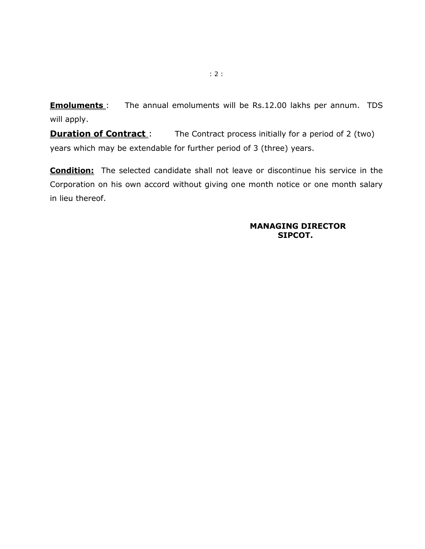**Emoluments**: The annual emoluments will be Rs.12.00 lakhs per annum. TDS will apply.

**Duration of Contract**: The Contract process initially for a period of 2 (two) years which may be extendable for further period of 3 (three) years.

**Condition:** The selected candidate shall not leave or discontinue his service in the Corporation on his own accord without giving one month notice or one month salary in lieu thereof.

#### **MANAGING DIRECTOR SIPCOT.**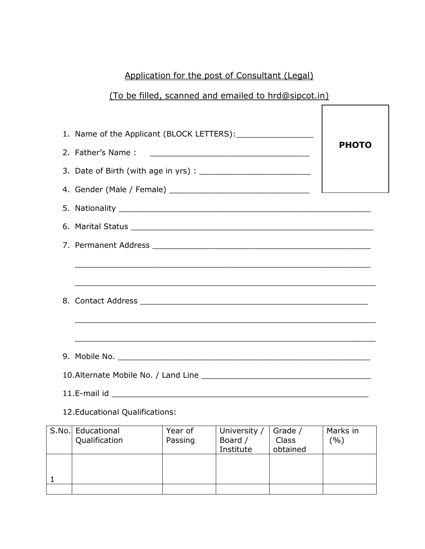# Application for the post of Consultant (Legal)

# (To be filled, scanned and emailed to hrd@sipcot.in)

|  | 2. Father's Name:<br><u> 1989 - Johann Harry Harry Harry Harry Harry Harry Harry Harry Harry Harry Harry Harry Harry Harry Harry Harry</u> | <b>PHOTO</b> |  |  |  |  |  |
|--|--------------------------------------------------------------------------------------------------------------------------------------------|--------------|--|--|--|--|--|
|  |                                                                                                                                            |              |  |  |  |  |  |
|  |                                                                                                                                            |              |  |  |  |  |  |
|  |                                                                                                                                            |              |  |  |  |  |  |
|  |                                                                                                                                            |              |  |  |  |  |  |
|  |                                                                                                                                            |              |  |  |  |  |  |
|  |                                                                                                                                            |              |  |  |  |  |  |
|  |                                                                                                                                            |              |  |  |  |  |  |
|  |                                                                                                                                            |              |  |  |  |  |  |
|  |                                                                                                                                            |              |  |  |  |  |  |
|  |                                                                                                                                            |              |  |  |  |  |  |

12.Educational Qualifications:

| S.No. Educational | Year of | University / | Grade /  | Marks in |
|-------------------|---------|--------------|----------|----------|
| Qualification     | Passing | Board /      | Class    | (9/0)    |
|                   |         | Institute    | obtained |          |
|                   |         |              |          |          |
|                   |         |              |          |          |
|                   |         |              |          |          |
|                   |         |              |          |          |